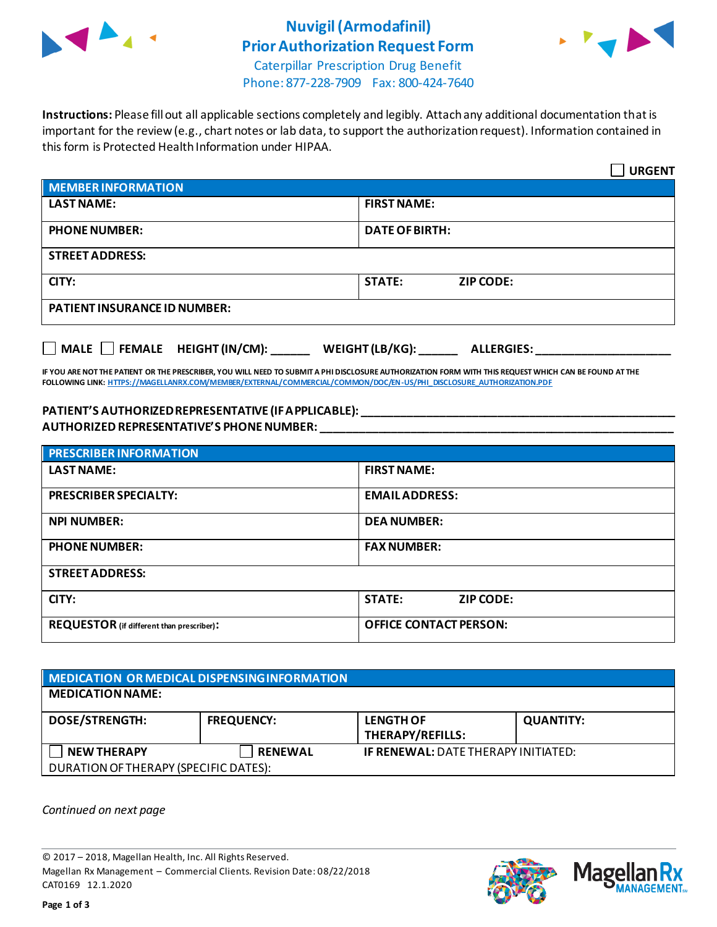

# **Nuvigil(Armodafinil) Prior Authorization Request Form**



Caterpillar Prescription Drug Benefit Phone: 877-228-7909 Fax: 800-424-7640

**Instructions:** Please fill out all applicable sections completely and legibly. Attach any additional documentation that is important for the review (e.g., chart notes or lab data, to support the authorization request). Information contained in this form is Protected Health Information under HIPAA.

|                                     | <b>URGENT</b>                        |  |  |
|-------------------------------------|--------------------------------------|--|--|
| <b>MEMBER INFORMATION</b>           |                                      |  |  |
| <b>LAST NAME:</b>                   | <b>FIRST NAME:</b>                   |  |  |
| <b>PHONE NUMBER:</b>                | <b>DATE OF BIRTH:</b>                |  |  |
| <b>STREET ADDRESS:</b>              |                                      |  |  |
| CITY:                               | <b>STATE:</b><br><b>ZIP CODE:</b>    |  |  |
| <b>PATIENT INSURANCE ID NUMBER:</b> |                                      |  |  |
| MALE FEMALE HEIGHT (IN/CM):         | WEIGHT (LB/KG):<br><b>ALLERGIES:</b> |  |  |

**IF YOU ARE NOT THE PATIENT OR THE PRESCRIBER, YOU WILL NEED TO SUBMIT A PHI DISCLOSURE AUTHORIZATION FORM WITH THIS REQUEST WHICH CAN BE FOUND AT THE FOLLOWING LINK[: HTTPS://MAGELLANRX.COM/MEMBER/EXTERNAL/COMMERCIAL/COMMON/DOC/EN-US/PHI\\_DISCLOSURE\\_AUTHORIZATION.PDF](https://magellanrx.com/member/external/commercial/common/doc/en-us/PHI_Disclosure_Authorization.pdf)**

### **PATIENT'S AUTHORIZED REPRESENTATIVE (IF APPLICABLE): \_\_\_\_\_\_\_\_\_\_\_\_\_\_\_\_\_\_\_\_\_\_\_\_\_\_\_\_\_\_\_\_\_\_\_\_\_\_\_\_\_\_\_\_\_\_\_\_\_ AUTHORIZED REPRESENTATIVE'S PHONE NUMBER: \_\_\_\_\_\_\_\_\_\_\_\_\_\_\_\_\_\_\_\_\_\_\_\_\_\_\_\_\_\_\_\_\_\_\_\_\_\_\_\_\_\_\_\_\_\_\_\_\_\_\_\_\_\_\_**

| <b>PRESCRIBER INFORMATION</b>             |                               |  |  |  |
|-------------------------------------------|-------------------------------|--|--|--|
| <b>LAST NAME:</b>                         | <b>FIRST NAME:</b>            |  |  |  |
| <b>PRESCRIBER SPECIALTY:</b>              | <b>EMAIL ADDRESS:</b>         |  |  |  |
| <b>NPI NUMBER:</b>                        | <b>DEA NUMBER:</b>            |  |  |  |
| <b>PHONE NUMBER:</b>                      | <b>FAX NUMBER:</b>            |  |  |  |
| <b>STREET ADDRESS:</b>                    |                               |  |  |  |
| CITY:                                     | <b>STATE:</b><br>ZIP CODE:    |  |  |  |
| REQUESTOR (if different than prescriber): | <b>OFFICE CONTACT PERSON:</b> |  |  |  |

| MEDICATION OR MEDICAL DISPENSING INFORMATION |                   |                                             |                  |  |  |
|----------------------------------------------|-------------------|---------------------------------------------|------------------|--|--|
| <b>MEDICATION NAME:</b>                      |                   |                                             |                  |  |  |
| <b>DOSE/STRENGTH:</b>                        | <b>FREQUENCY:</b> | <b>LENGTH OF</b><br><b>THERAPY/REFILLS:</b> | <b>QUANTITY:</b> |  |  |
| <b>NEW THERAPY</b>                           | <b>RENEWAL</b>    | <b>IF RENEWAL: DATE THERAPY INITIATED:</b>  |                  |  |  |
| DURATION OF THERAPY (SPECIFIC DATES):        |                   |                                             |                  |  |  |

*Continued on next page*

© 2017 – 2018, Magellan Health, Inc. All Rights Reserved. Magellan Rx Management – Commercial Clients. Revision Date: 08/22/2018 CAT0169 12.1.2020



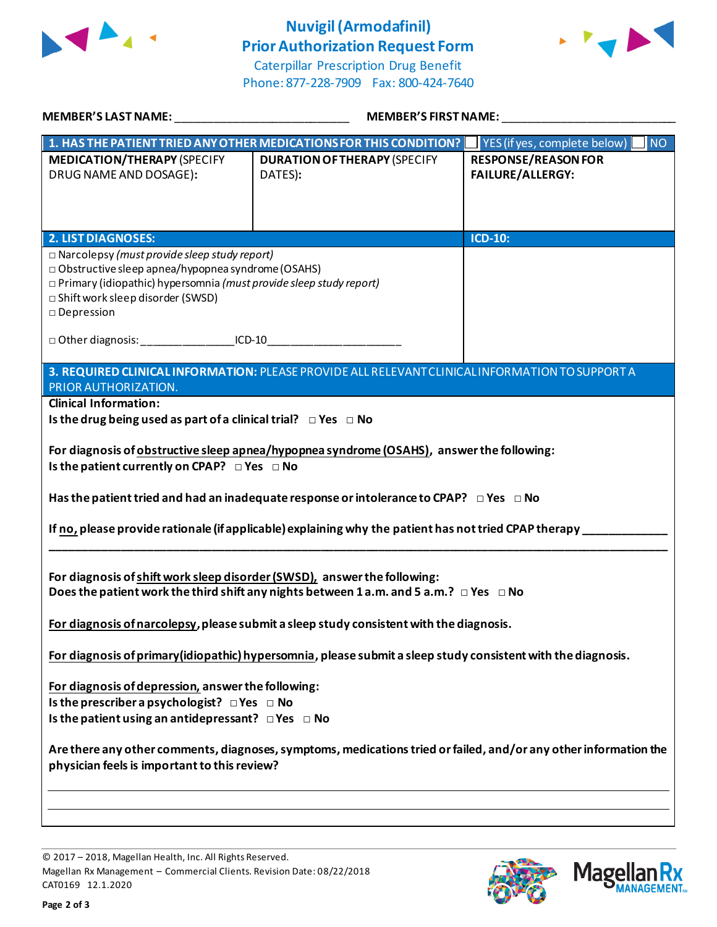

# **Nuvigil(Armodafinil) Prior Authorization Request Form**





| <b>MEMBER'S LAST NAME:</b>                                                                                                                                                                  | <b>MEMBER'S FIRST NAME:</b>                                                                                                                                                                    |                                                       |  |
|---------------------------------------------------------------------------------------------------------------------------------------------------------------------------------------------|------------------------------------------------------------------------------------------------------------------------------------------------------------------------------------------------|-------------------------------------------------------|--|
|                                                                                                                                                                                             | 1. HAS THE PATIENT TRIED ANY OTHER MEDICATIONS FOR THIS CONDITION?                                                                                                                             | INO<br>YES (if yes, complete below)                   |  |
| <b>MEDICATION/THERAPY (SPECIFY</b><br>DRUG NAME AND DOSAGE):                                                                                                                                | <b>DURATION OF THERAPY (SPECIFY</b><br>DATES):                                                                                                                                                 | <b>RESPONSE/REASON FOR</b><br><b>FAILURE/ALLERGY:</b> |  |
| <b>2. LIST DIAGNOSES:</b><br>$\Box$ Narcolepsy (must provide sleep study report)                                                                                                            |                                                                                                                                                                                                | <b>ICD-10:</b>                                        |  |
| $\Box$ Obstructive sleep apnea/hypopnea syndrome (OSAHS)<br>$\Box$ Primary (idiopathic) hypersomnia (must provide sleep study report)<br>□ Shift work sleep disorder (SWSD)<br>□ Depression |                                                                                                                                                                                                |                                                       |  |
| □ Other diagnosis: UCD-10                                                                                                                                                                   |                                                                                                                                                                                                |                                                       |  |
| PRIOR AUTHORIZATION.                                                                                                                                                                        | 3. REQUIRED CLINICAL INFORMATION: PLEASE PROVIDE ALL RELEVANT CLINICAL INFORMATION TO SUPPORT A                                                                                                |                                                       |  |
| <b>Clinical Information:</b>                                                                                                                                                                |                                                                                                                                                                                                |                                                       |  |
| Is the drug being used as part of a clinical trial? $\Box$ Yes $\Box$ No                                                                                                                    |                                                                                                                                                                                                |                                                       |  |
| Is the patient currently on CPAP? DYes DNo                                                                                                                                                  | For diagnosis of obstructive sleep apnea/hypopnea syndrome (OSAHS), answer the following:<br>Has the patient tried and had an inadequate response or intolerance to CPAP? $\Box$ Yes $\Box$ No |                                                       |  |
|                                                                                                                                                                                             |                                                                                                                                                                                                |                                                       |  |
|                                                                                                                                                                                             | If no, please provide rationale (if applicable) explaining why the patient has not tried CPAP therapy                                                                                          |                                                       |  |
| For diagnosis of shift work sleep disorder (SWSD), answer the following:                                                                                                                    | Does the patient work the third shift any nights between 1 a.m. and 5 a.m.? $\Box$ Yes $\Box$ No                                                                                               |                                                       |  |
|                                                                                                                                                                                             | For diagnosis of narcolepsy, please submit a sleep study consistent with the diagnosis.                                                                                                        |                                                       |  |
|                                                                                                                                                                                             | For diagnosis of primary (idiopathic) hypersomnia, please submit a sleep study consistent with the diagnosis.                                                                                  |                                                       |  |
| For diagnosis of depression, answer the following:<br>Is the prescriber a psychologist? $\Box$ Yes $\Box$ No                                                                                |                                                                                                                                                                                                |                                                       |  |
| Is the patient using an antidepressant? $\Box$ Yes $\Box$ No                                                                                                                                |                                                                                                                                                                                                |                                                       |  |
| physician feels is important to this review?                                                                                                                                                | Are there any other comments, diagnoses, symptoms, medications tried or failed, and/or any other information the                                                                               |                                                       |  |
|                                                                                                                                                                                             |                                                                                                                                                                                                |                                                       |  |